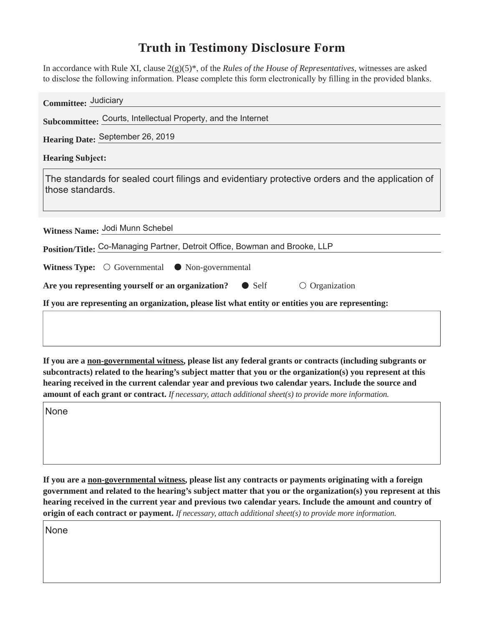## **Truth in Testimony Disclosure Form**

In accordance with Rule XI, clause 2(g)(5)\* of the *Rules of the House of Representatives*, witnesses are asked to disclose the following information. Please complete this form electronically by filling in the provided blanks.

| Committee: Judiciary                                                                                                |  |  |
|---------------------------------------------------------------------------------------------------------------------|--|--|
| Subcommittee: Courts, Intellectual Property, and the Internet                                                       |  |  |
| Hearing Date: September 26, 2019                                                                                    |  |  |
| <b>Hearing Subject:</b>                                                                                             |  |  |
| The standards for sealed court filings and evidentiary protective orders and the application of<br>those standards. |  |  |
|                                                                                                                     |  |  |
| Witness Name: Jodi Munn Schebel                                                                                     |  |  |
| Position/Title: Co-Managing Partner, Detroit Office, Bowman and Brooke, LLP                                         |  |  |
| <b>Witness Type:</b> $\bigcirc$ Governmental $\bullet$ Non-governmental                                             |  |  |
| Are you representing yourself or an organization? $\bullet$ Self<br>$\circ$ Organization                            |  |  |
| If you are representing an organization, please list what entity or entities you are representing:                  |  |  |
|                                                                                                                     |  |  |
|                                                                                                                     |  |  |

**If you are a non-governmental witness, please list any federal grants or contracts (including subgrants or subcontracts) related to the hearing's subject matter that you or the organization(s) you represent at this hearing received in the current calendar year and previous two calendar years. Include the source and amount of each grant or contract.** *If necessary, attach additional sheet(s) to provide more information.*

None

**If you are a non-governmental witness, please list any contracts or payments originating with a foreign government and related to the hearing's subject matter that you or the organization(s) you represent at this hearing received in the current year and previous two calendar years. Include the amount and country of origin of each contract or payment.** *If necessary, attach additional sheet(s) to provide more information.*

None